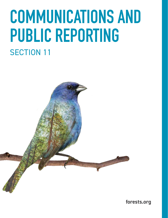# **COMMUNICATIONS AND PUBLIC REPORTING** SECTION 11



**forests.org**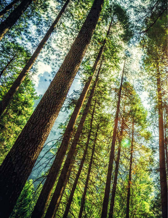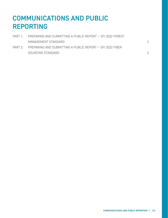## COMMUNICATIONS AND PUBLIC REPORTING

|  | PART 1: PREPARING AND SUBMITTING A PUBLIC REPORT — SEL2022 FOREST |  |
|--|-------------------------------------------------------------------|--|
|  | MANAGEMENT STANDARD                                               |  |
|  | PART 2: PREPARING AND SUBMITTING A PUBLIC REPORT — SEL2022 FIBER  |  |
|  | SOURCING STANDARD                                                 |  |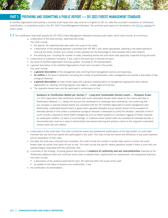#### **PART 1: PREPARING AND SUBMITTING A PUBLIC REPORT — SFI 2022 FOREST MANAGEMENT STANDARD**

A Certified Organization shall provide a summary audit report (one copy must be in English) to *SFI Inc.* after the successful completion of certification, recertification, or surveillance audit to the *SFI 2022 Forest Management Standard*. The summary audit report will be posted on the *SFI Inc*[. website](https://www.forests.org) for public review.

#### **1.1** The certification body shall prepare the *SFI 2022 Forest Management Standard* summary audit report, which shall include, at a minimum:

a. a description of the audit process, objectives and scope;

- This shall include:
- the specific *SFI objectives* that were within the scope of the audit;
- a description of the sampling approach (consistent with IAF MD-1 and, where appropriate, adopting a risk-based approach) outlining the strata, location and number of sites sampled and the percentage of sites sampled within each stratum;
- the sampling size, including the number of roads, harvesting blocks and silviculture sites physically inspected during the audit.
- b. a description of substitute *indicators,* if any, used in the audit and a rationale for each;
- c. the name of Certified Organization that was audited, including its *SFI* representative;
- d. a general description of the Certified Organization's forest land included in the audits; This shall include:
	- a general description of the management plan outlining forest management policies and objectives;
	- an outline of the area of ownership (including the number of acres/hectares under management and provide a description of key ecological features);
	- a general description of major timber types with a general characterization of management approaches used (natural regeneration vs. planting, thinning regimes, even-aged vs. uneven-aged silvicultural);
	- The *long-term* harvest level and the participant's conformance to this.

Guidance to Certification Bodies per Section 7 - Long-term Sustainable Harvest Levels — Temporal Scale: It is SFI's expectation that certification bodies shall audit sustainable harvest levels based on the criteria specified in Performance Measure 1.1, taking into account the maintenance of *landscape* level *biodiversity,* and confirming that any increases in planned harvest level(s) are consistent with the SFI Certified Organization's forest management plan. Additionally, sustainable harvest levels or government regulated allowable annual harvest should not be exceeded for extended periods of time unless a substantive ecological rationale is developed to justify the elevation, examples of which could include a response to forest health emergencies such as beetle epidemics or sanitation logging of forests impacted by catastrophic wildfire, ice storm or wind damage. In instances where harvest levels are exceeded for extended periods, a documented plan must be in place to demonstrate how harvest planning will achieve a return to the *long-term* sustainable harvest levels over one rotation.

- e. a description of the *audit team*. This shall include the names and professional qualifications of the lead *auditor*, all *audit team* members and any *technical experts* who participated in the audit. This may include the names and affiliations of any audit observers and an explanation of their roles;
- f. the dates the audit was conducted and completed. This shall include the number of auditor days spent to conduct the audit, broken down by *auditor* time spent off and on-site. This shall include the specific woods operations visited if there is more than one operation/region associated with the certificate, and;
- g. a summary of the findings, including general descriptions of evidence of conformity and any nonconformities (reported at the *Performance Measure* level) and corrective action plans to address them, opportunities for improvement, and exceptional practices. This shall include:
	- a description of the evidence examined for each *SFI objective* within the scope of the audit.
	- an update on the status of previous non-conformities, if any.
- h. the certification recommendation.